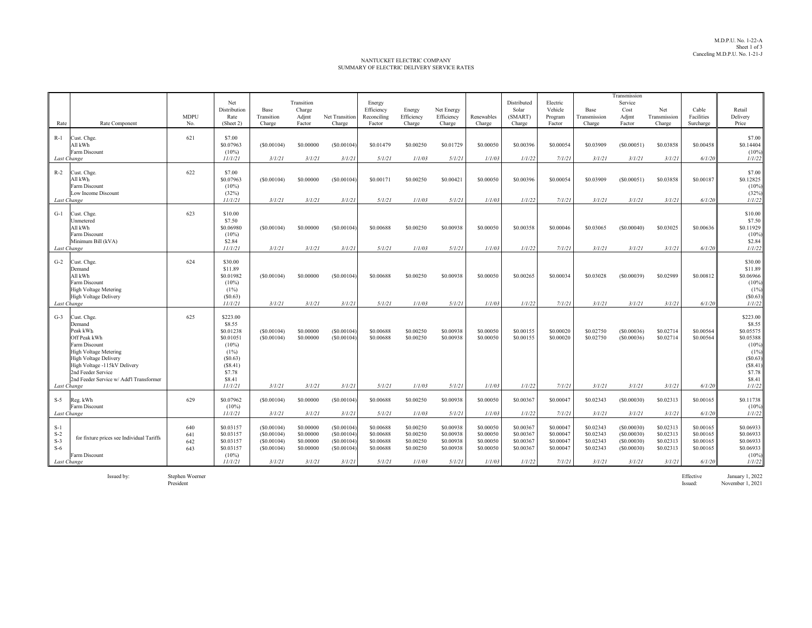## NANTUCKET ELECTRIC COMPANYSUMMARY OF ELECTRIC DELIVERY SERVICE RATES

| Rate<br>Rate Component                                                                                                                                                                                                                                      | <b>MDPU</b><br>No.       | Net<br>Distribution<br>Rate<br>(Sheet 2)                                                                              | Base<br>Transition<br>Charge                                   | Transition<br>Charge<br>Adjmt<br>Factor                    | Net Transition<br>Charge                                       | Energy<br>Efficiency<br>Reconciling<br>Factor              | Energy<br>Efficiency<br>Charge                             | Net Energy<br>Efficiency<br>Charge                         | Renewables<br>Charge                                       | Distributed<br>Solar<br>(SMART)<br>Charge                  | Electric<br>Vehicle<br>Program<br>Factor                   | Base<br>Transmission<br>Charge                             | Transmission<br>Service<br>Cost<br>Adjmt<br>Factor             | Net<br>Transmission<br>Charge                              | Cable<br>Facilities<br>Surcharge                           | Retail<br>Delivery<br>Price                                                                                          |
|-------------------------------------------------------------------------------------------------------------------------------------------------------------------------------------------------------------------------------------------------------------|--------------------------|-----------------------------------------------------------------------------------------------------------------------|----------------------------------------------------------------|------------------------------------------------------------|----------------------------------------------------------------|------------------------------------------------------------|------------------------------------------------------------|------------------------------------------------------------|------------------------------------------------------------|------------------------------------------------------------|------------------------------------------------------------|------------------------------------------------------------|----------------------------------------------------------------|------------------------------------------------------------|------------------------------------------------------------|----------------------------------------------------------------------------------------------------------------------|
| $R-1$<br>Cust. Chge.<br>All kWh<br>Farm Discount<br>Last Change                                                                                                                                                                                             | 621                      | \$7.00<br>\$0.07963<br>$(10\%)$<br>11/1/21                                                                            | (S0.00104)<br>3/1/21                                           | \$0,00000<br>3/1/21                                        | (S0.00104)<br>3/1/21                                           | \$0.01479<br>5/1/21                                        | \$0.00250<br>1/1/03                                        | \$0.01729<br>5/1/21                                        | \$0,00050<br>1/1/03                                        | \$0.00396<br>1/1/22                                        | \$0,00054<br>7/1/21                                        | \$0.03909<br>3/1/21                                        | (S0.00051)<br>3/1/21                                           | \$0.03858<br>3/1/21                                        | \$0.00458<br>6/1/20                                        | \$7.00<br>\$0.14404<br>$(10\%)$<br>1/1/22                                                                            |
| $R-2$<br>Cust. Chge.<br>All kWh<br>Farm Discount<br>Low Income Discount<br>Last Change                                                                                                                                                                      | 622                      | \$7.00<br>\$0.07963<br>$(10\%)$<br>(32%)<br>11/1/21                                                                   | (S0.00104)<br>3/1/21                                           | \$0.00000<br>3/1/21                                        | (S0.00104)<br>3/1/21                                           | \$0.00171<br>5/1/21                                        | \$0.00250<br>1/1/03                                        | \$0.00421<br>5/1/21                                        | \$0.00050<br>1/1/03                                        | \$0.00396<br>1/1/22                                        | \$0.00054<br>7/1/21                                        | \$0.03909<br>3/1/21                                        | (S0.00051)<br>3/1/21                                           | \$0.03858<br>3/1/21                                        | \$0.00187<br>6/1/20                                        | \$7.00<br>\$0.12825<br>$(10\%)$<br>(32%)<br>1/1/22                                                                   |
| $G-1$<br>Cust. Chge.<br>Unmetered<br>All kWh<br>Farm Discount<br>Minimum Bill (kVA)<br>Last Change                                                                                                                                                          | 623                      | \$10.00<br>\$7.50<br>\$0.06980<br>$(10\%)$<br>\$2.84<br>11/1/21                                                       | (S0.00104)<br>3/1/21                                           | \$0,00000<br>3/1/21                                        | (S0.00104)<br>3/1/21                                           | \$0.00688<br>5/1/21                                        | \$0,00250<br>1/1/03                                        | \$0.00938<br>5/1/21                                        | \$0,00050<br>1/1/03                                        | \$0.00358<br>1/1/22                                        | \$0.00046<br>7/1/21                                        | \$0.03065<br>3/1/21                                        | (S0.00040)<br>3/1/21                                           | \$0.03025<br>3/1/21                                        | \$0,00636<br>6/1/20                                        | \$10.00<br>\$7.50<br>\$0.11929<br>$(10\%)$<br>\$2.84<br>1/1/22                                                       |
| $G-2$<br>Cust. Chge.<br>Demand<br>All kWh<br>Farm Discount<br><b>High Voltage Metering</b><br><b>High Voltage Delivery</b><br>Last Change                                                                                                                   | 624                      | \$30.00<br>\$11.89<br>\$0.01982<br>$(10\%)$<br>(1%)<br>(S0.63)<br>11/1/21                                             | (S0.00104)<br>3/1/21                                           | \$0.00000<br>3/1/21                                        | (S0.00104)<br>3/1/21                                           | \$0.00688<br>5/1/21                                        | \$0.00250<br>1/1/03                                        | \$0.00938<br>5/1/21                                        | \$0.00050<br>1/1/03                                        | \$0.00265<br>1/1/22                                        | \$0.00034<br>7/1/21                                        | \$0.03028<br>3/1/21                                        | (S0.00039)<br>3/1/21                                           | \$0.02989<br>3/1/21                                        | \$0.00812<br>6/1/20                                        | \$30.00<br>\$11.89<br>\$0.06966<br>$(10\%)$<br>(1%)<br>(S0.63)<br>1/1/22                                             |
| $G-3$<br>Cust. Chge.<br>Demand<br>Peak kWh<br>Off Peak kWh<br>Farm Discount<br><b>High Voltage Metering</b><br><b>High Voltage Delivery</b><br>High Voltage -115kV Delivery<br>2nd Feeder Service<br>2nd Feeder Service w/ Add'l Transformer<br>Last Change | 625                      | \$223.00<br>\$8.55<br>\$0.01238<br>\$0.01051<br>$(10\%)$<br>(1%)<br>(S0.63)<br>(S8.41)<br>\$7.78<br>\$8.41<br>11/1/21 | (S0.00104)<br>(S0.00104)<br>3/1/21                             | \$0.00000<br>\$0,00000<br>3/1/21                           | (S0.00104)<br>(S0.00104)<br>3/1/21                             | \$0.00688<br>\$0.00688<br>5/1/21                           | \$0.00250<br>\$0.00250<br>1/1/03                           | \$0.00938<br>\$0.00938<br>5/1/21                           | \$0,00050<br>\$0,00050<br>1/1/03                           | \$0.00155<br>\$0.00155<br>1/1/22                           | \$0.00020<br>\$0.00020<br>7/1/21                           | \$0.02750<br>\$0.02750<br>3/1/21                           | (S0.00036)<br>(S0.00036)<br>3/1/21                             | \$0.02714<br>\$0.02714<br>3/1/21                           | \$0.00564<br>\$0,00564<br>6/1/20                           | \$223.00<br>\$8.55<br>\$0.05575<br>\$0.05388<br>$(10\%)$<br>(1%)<br>(S0.63)<br>(S8.41)<br>\$7.78<br>\$8.41<br>1/1/22 |
| Reg. kWh<br>$S-5$<br>Farm Discount<br>Last Change                                                                                                                                                                                                           | 629                      | \$0.07962<br>$(10\%)$<br>11/1/21                                                                                      | (S0.00104)<br>3/1/21                                           | \$0,00000<br>3/1/21                                        | (S0.00104)<br>3/1/21                                           | \$0.00688<br>5/1/21                                        | \$0.00250<br>1/1/03                                        | \$0.00938<br>5/1/21                                        | \$0,00050<br>1/1/03                                        | \$0.00367<br>1/1/22                                        | \$0,00047<br>7/1/21                                        | \$0.02343<br>3/1/21                                        | (S0.00030)<br>3/1/21                                           | \$0.02313<br>3/1/21                                        | \$0.00165<br>6/1/20                                        | \$0.11738<br>$(10\%)$<br>1/1/22                                                                                      |
| $S-1$<br>$S-2$<br>for fixture prices see Individual Tariffs<br>$S-3$<br>$S-6$<br>Farm Discount<br>Last Change                                                                                                                                               | 640<br>641<br>642<br>643 | \$0.03157<br>\$0.03157<br>\$0.03157<br>\$0.03157<br>$(10\%)$<br>11/1/21                                               | (S0.00104)<br>(S0.00104)<br>(S0.00104)<br>(S0.00104)<br>3/1/21 | \$0.00000<br>\$0.00000<br>\$0.00000<br>\$0,00000<br>3/1/21 | (S0.00104)<br>(S0.00104)<br>(S0.00104)<br>(S0.00104)<br>3/1/21 | \$0.00688<br>\$0.00688<br>\$0.00688<br>\$0.00688<br>5/1/21 | \$0.00250<br>\$0.00250<br>\$0.00250<br>\$0.00250<br>1/1/03 | \$0.00938<br>\$0.00938<br>\$0.00938<br>\$0.00938<br>5/1/21 | \$0,00050<br>\$0.00050<br>\$0.00050<br>\$0.00050<br>1/1/03 | \$0,00367<br>\$0,00367<br>\$0,00367<br>\$0,00367<br>1/1/22 | \$0.00047<br>\$0,00047<br>\$0.00047<br>\$0,00047<br>7/1/21 | \$0.02343<br>\$0.02343<br>\$0.02343<br>\$0.02343<br>3/1/21 | (S0.00030)<br>(S0.00030)<br>(S0.00030)<br>(S0.00030)<br>3/1/21 | \$0.02313<br>\$0.02313<br>\$0.02313<br>\$0.02313<br>3/1/21 | \$0.00165<br>\$0.00165<br>\$0.00165<br>\$0.00165<br>6/1/20 | \$0.06933<br>\$0.06933<br>\$0.06933<br>\$0.06933<br>$(10\%)$<br>1/1/22                                               |

Stephen Woerner<br>President

Issued by: Stephen Woerner Effective January 1, 2022 Issued: November 1, 2021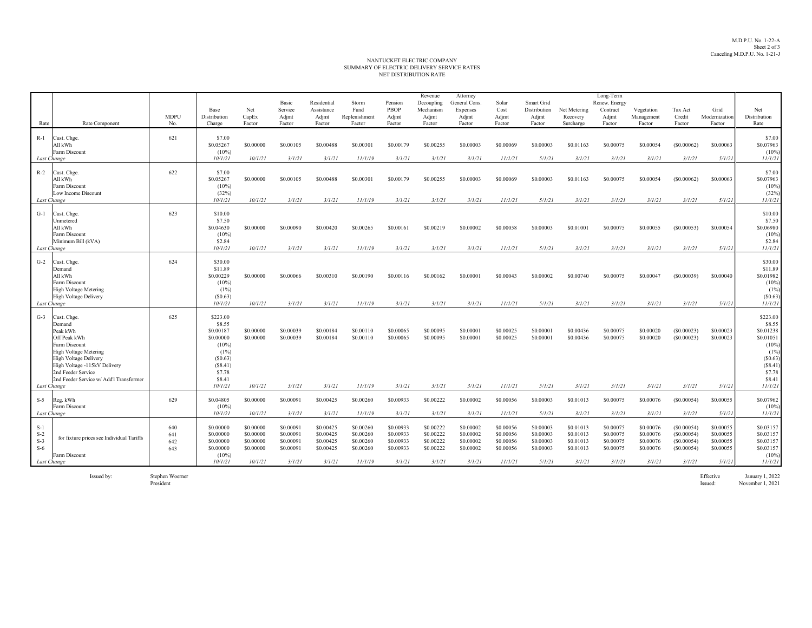## NET DISTRIBUTION RATE SUMMARY OF ELECTRIC DELIVERY SERVICE RATES NANTUCKET ELECTRIC COMPANY

| Rate                                            | Rate Component                                                                                                                                                                                                                      | <b>MDPU</b><br>No.       | Base<br>Distribution<br>Charge                                                                                           | Net<br>CapEx<br>Factor                                      | Basic<br>Service<br>Adjmt<br>Factor                        | Residential<br>Assistance<br>Adjmt<br>Factor               | Storm<br>Fund<br>Replenishment<br>Factor                    | Pension<br><b>PBOP</b><br>Adjmt<br>Factor                  | Revenue<br>Decoupling<br>Mechanism<br>Adjmt<br>Factor      | Attorney<br>General Cons.<br><b>Expenses</b><br>Adjmt<br>Factor | Solar<br>Cost<br>Adjmt<br>Factor                            | Smart Grid<br>Distribution<br>Adjmt<br>Factor              | Net Metering<br>Recovery<br>Surcharge                      | Long-Term<br>Renew. Energy<br>Contract<br>Adjmt<br>Factor  | Vegetation<br>Management<br>Factor                         | Tax Act<br>Credit<br>Factor                                    | Grid<br>Modernization<br>Factor                            | Net<br>Distribution<br>Rate                                                                                           |
|-------------------------------------------------|-------------------------------------------------------------------------------------------------------------------------------------------------------------------------------------------------------------------------------------|--------------------------|--------------------------------------------------------------------------------------------------------------------------|-------------------------------------------------------------|------------------------------------------------------------|------------------------------------------------------------|-------------------------------------------------------------|------------------------------------------------------------|------------------------------------------------------------|-----------------------------------------------------------------|-------------------------------------------------------------|------------------------------------------------------------|------------------------------------------------------------|------------------------------------------------------------|------------------------------------------------------------|----------------------------------------------------------------|------------------------------------------------------------|-----------------------------------------------------------------------------------------------------------------------|
| $R-1$                                           | Cust. Chge.<br>All kWh<br>Farm Discount                                                                                                                                                                                             | 621                      | \$7.00<br>\$0.05267<br>$(10\%)$                                                                                          | \$0,00000                                                   | \$0,00105                                                  | \$0,00488                                                  | \$0,00301                                                   | \$0,00179                                                  | \$0.00255                                                  | \$0,00003                                                       | \$0,00069                                                   | \$0,00003                                                  | \$0.01163                                                  | \$0,00075                                                  | \$0,00054                                                  | (S0.00062)                                                     | \$0,00063                                                  | \$7.00<br>\$0.07963<br>$(10\%)$                                                                                       |
| Last Change<br>$R-2$<br>Last Change             | Cust. Chge.<br>All kWh<br>Farm Discount<br>Low Income Discount                                                                                                                                                                      | 622                      | 10/1/21<br>\$7.00<br>\$0.05267<br>$(10\%)$<br>(32%)<br>10/1/21                                                           | 10/1/21<br>\$0,00000<br>10/1/21                             | 3/1/21<br>\$0.00105<br>3/1/21                              | 3/1/21<br>\$0,00488<br>3/1/21                              | 11/1/19<br>\$0.00301<br>11/1/19                             | 3/1/21<br>\$0,00179<br>3/1/21                              | 3/1/21<br>\$0.00255<br>3/1/21                              | 3/1/21<br>\$0,00003<br>3/1/21                                   | 11/1/21<br>\$0,00069<br>11/1/21                             | 5/1/21<br>\$0,00003<br>5/1/21                              | 3/1/21<br>\$0.01163<br>3/1/21                              | 3/1/21<br>\$0,00075<br>3/1/21                              | 3/1/21<br>\$0,00054<br>3/1/21                              | 3/1/21<br>(S0.00062)<br>3/1/21                                 | 5/1/21<br>\$0,00063<br>5/1/21                              | 11/1/21<br>\$7.00<br>\$0.07963<br>$(10\%)$<br>(32%)<br>11/1/21                                                        |
| $G-1$<br>Last Change                            | Cust. Chge.<br>Unmetered<br>All kWh<br>Farm Discount<br>Minimum Bill (kVA)                                                                                                                                                          | 623                      | \$10.00<br>\$7.50<br>\$0.04630<br>$(10\%)$<br>\$2.84<br>10/1/21                                                          | \$0,00000<br>10/1/21                                        | \$0,00090<br>3/1/21                                        | \$0,00420<br>3/1/21                                        | \$0.00265<br>11/1/19                                        | \$0,00161<br>3/1/21                                        | \$0.00219<br>3/1/21                                        | \$0.00002<br>3/1/21                                             | \$0,00058<br>11/1/21                                        | \$0,00003<br>5/1/21                                        | \$0.01001<br>3/1/21                                        | \$0,00075<br>3/1/21                                        | \$0,00055<br>3/1/21                                        | (S0.00053)<br>3/1/21                                           | \$0,00054<br>5/1/21                                        | \$10.00<br>\$7.50<br>\$0.06980<br>$(10\%)$<br>\$2.84<br>11/1/21                                                       |
| $G-2$<br>Last Change                            | Cust. Chge.<br>Demand<br>All kWh<br>Farm Discount<br><b>High Voltage Metering</b><br><b>High Voltage Delivery</b>                                                                                                                   | 624                      | \$30.00<br>\$11.89<br>\$0.00229<br>$(10\%)$<br>$(1\%)$<br>(S0.63)<br>10/1/21                                             | \$0,00000<br>10/1/21                                        | \$0,00066<br>3/1/21                                        | \$0.00310<br>3/1/21                                        | \$0.00190<br>11/1/19                                        | \$0,00116<br>3/1/21                                        | \$0.00162<br>3/1/21                                        | \$0,00001<br>3/1/21                                             | \$0.00043<br>11/1/21                                        | \$0,00002<br>5/1/21                                        | \$0.00740<br>3/1/21                                        | \$0,00075<br>3/1/21                                        | \$0,00047<br>3/1/21                                        | (S0.00039)<br>3/1/21                                           | \$0,00040<br>5/1/21                                        | \$30.00<br>\$11.89<br>\$0.01982<br>$(10\%)$<br>(1%)<br>(S0.63)<br>11/1/21                                             |
| $G-3$<br>Last Change                            | Cust. Chge.<br>Demand<br>Peak kWh<br>Off Peak kWh<br>Farm Discount<br><b>High Voltage Metering</b><br><b>High Voltage Delivery</b><br>High Voltage -115kV Delivery<br>2nd Feeder Service<br>2nd Feeder Service w/ Add'l Transformer | 625                      | \$223.00<br>\$8.55<br>\$0,00187<br>\$0,00000<br>$(10\%)$<br>$(1\%)$<br>(S0.63)<br>(S8.41)<br>\$7.78<br>\$8.41<br>10/1/21 | \$0,00000<br>\$0,00000<br>10/1/21                           | \$0.00039<br>\$0,00039<br>3/1/21                           | \$0.00184<br>\$0,00184<br>3/1/21                           | \$0.00110<br>\$0,00110<br>11/1/19                           | \$0,00065<br>\$0,00065<br>3/1/21                           | \$0.00095<br>\$0,00095<br>3/1/21                           | \$0.00001<br>\$0,00001<br>3/1/21                                | \$0.00025<br>\$0.00025<br>11/1/21                           | \$0.00001<br>\$0,00001<br>5/1/21                           | \$0.00436<br>\$0.00436<br>3/1/21                           | \$0,00075<br>\$0,00075<br>3/1/21                           | \$0.00020<br>\$0.00020<br>3/1/21                           | (S0.00023)<br>(S0.00023)<br>3/1/21                             | \$0.00023<br>\$0,00023<br>5/1/21                           | \$223.00<br>\$8.55<br>\$0.01238<br>\$0.01051<br>$(10\%)$<br>(1%)<br>(S0.63)<br>(S8.41)<br>\$7.78<br>\$8.41<br>11/1/21 |
| $S-5$<br>Last Change                            | Reg. kWh<br>Farm Discount                                                                                                                                                                                                           | 629                      | \$0.04805<br>$(10\%)$<br>10/1/21                                                                                         | \$0.00000<br>10/1/21                                        | \$0.00091<br>3/1/21                                        | \$0.00425<br>3/1/21                                        | \$0.00260<br>11/1/19                                        | \$0.00933<br>3/1/21                                        | \$0.00222<br>3/1/21                                        | \$0.00002<br>3/1/21                                             | \$0.00056<br>11/1/21                                        | \$0.00003<br>5/1/21                                        | \$0.01013<br>3/1/21                                        | \$0.00075<br>3/1/21                                        | \$0.00076<br>3/1/21                                        | (S0.00054)<br>3/1/21                                           | \$0.00055<br>5/1/21                                        | \$0.07962<br>(10%)<br>11/1/21                                                                                         |
| $S-1$<br>$S-2$<br>$S-3$<br>$S-6$<br>Last Change | for fixture prices see Individual Tariffs<br>Farm Discount                                                                                                                                                                          | 640<br>641<br>642<br>643 | \$0.00000<br>\$0,00000<br>\$0,00000<br>\$0,00000<br>(10%<br>10/1/21                                                      | \$0.00000<br>\$0.00000<br>\$0.00000<br>\$0,00000<br>10/1/21 | \$0.00091<br>\$0.00091<br>\$0.00091<br>\$0,00091<br>3/1/21 | \$0.00425<br>\$0.00425<br>\$0.00425<br>\$0.00425<br>3/1/21 | \$0.00260<br>\$0.00260<br>\$0.00260<br>\$0.00260<br>11/1/19 | \$0.00933<br>\$0.00933<br>\$0.00933<br>\$0.00933<br>3/1/21 | \$0.00222<br>\$0.00222<br>\$0.00222<br>\$0.00222<br>3/1/21 | \$0.00002<br>\$0.00002<br>\$0.00002<br>\$0.00002<br>3/1/21      | \$0.00056<br>\$0.00056<br>\$0.00056<br>\$0,00056<br>11/1/21 | \$0.00003<br>\$0.00003<br>\$0.00003<br>\$0,00003<br>5/1/21 | \$0.01013<br>\$0.01013<br>\$0.01013<br>\$0.01013<br>3/1/21 | \$0.00075<br>\$0.00075<br>\$0.00075<br>\$0.00075<br>3/1/21 | \$0.00076<br>\$0.00076<br>\$0.00076<br>\$0,00076<br>3/1/21 | (S0.00054)<br>(S0.00054)<br>(S0.00054)<br>(S0.00054)<br>3/1/21 | \$0.00055<br>\$0,00055<br>\$0.00055<br>\$0.00055<br>5/1/21 | \$0.03157<br>\$0.03157<br>\$0.03157<br>\$0.03157<br>$(10\%)$<br>11/1/21                                               |

Issued by: Stephen Woerner President

Effective January 1, 2022 Issued: November 1, 2021